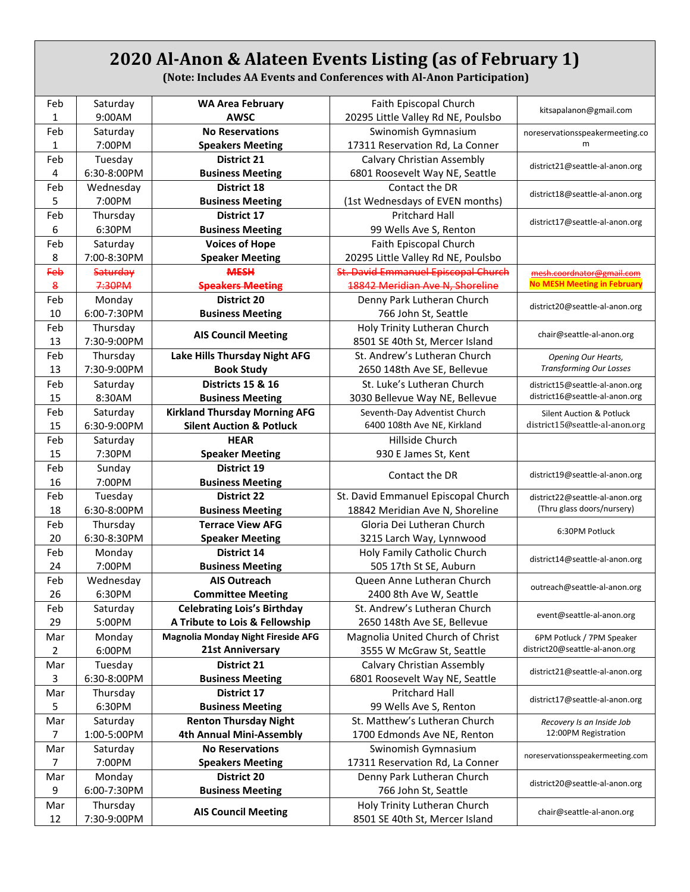## **2020 Al-Anon & Alateen Events Listing (as of February 1)**

**(Note: Includes AA Events and Conferences with Al-Anon Participation)**

| Feb          | Saturday        | <b>WA Area February</b>              | Faith Episcopal Church              | kitsapalanon@gmail.com                            |
|--------------|-----------------|--------------------------------------|-------------------------------------|---------------------------------------------------|
| 1            | 9:00AM          | <b>AWSC</b>                          | 20295 Little Valley Rd NE, Poulsbo  |                                                   |
| Feb          | Saturday        | <b>No Reservations</b>               | Swinomish Gymnasium                 | noreservationsspeakermeeting.co                   |
| $\mathbf{1}$ | 7:00PM          | <b>Speakers Meeting</b>              | 17311 Reservation Rd, La Conner     | m                                                 |
| Feb          | Tuesday         | <b>District 21</b>                   | Calvary Christian Assembly          | district21@seattle-al-anon.org                    |
| 4            | 6:30-8:00PM     | <b>Business Meeting</b>              | 6801 Roosevelt Way NE, Seattle      |                                                   |
| Feb          | Wednesday       | <b>District 18</b>                   | Contact the DR                      | district18@seattle-al-anon.org                    |
| 5            | 7:00PM          | <b>Business Meeting</b>              | (1st Wednesdays of EVEN months)     |                                                   |
| Feb          | Thursday        | District 17                          | Pritchard Hall                      | district17@seattle-al-anon.org                    |
| 6            | 6:30PM          | <b>Business Meeting</b>              | 99 Wells Ave S, Renton              |                                                   |
| Feb          | Saturday        | <b>Voices of Hope</b>                | Faith Episcopal Church              |                                                   |
| 8            | 7:00-8:30PM     | <b>Speaker Meeting</b>               | 20295 Little Valley Rd NE, Poulsbo  |                                                   |
| Feb          | <b>Saturday</b> | <b>MESH</b>                          | St. David Emmanuel Episcopal Church | mesh.coordnator@gmail.com                         |
| 8            | 7:30PM          | <b>Speakers Meeting</b>              | 18842 Meridian Ave N, Shoreline     | <b>No MESH Meeting in February</b>                |
| Feb          | Monday          | <b>District 20</b>                   | Denny Park Lutheran Church          |                                                   |
| 10           | 6:00-7:30PM     | <b>Business Meeting</b>              | 766 John St, Seattle                | district20@seattle-al-anon.org                    |
| Feb          | Thursday        |                                      | Holy Trinity Lutheran Church        |                                                   |
| 13           | 7:30-9:00PM     | <b>AIS Council Meeting</b>           | 8501 SE 40th St, Mercer Island      | chair@seattle-al-anon.org                         |
| Feb          | Thursday        | Lake Hills Thursday Night AFG        | St. Andrew's Lutheran Church        | <b>Opening Our Hearts,</b>                        |
| 13           | 7:30-9:00PM     | <b>Book Study</b>                    | 2650 148th Ave SE, Bellevue         | <b>Transforming Our Losses</b>                    |
| Feb          | Saturday        | <b>Districts 15 &amp; 16</b>         | St. Luke's Lutheran Church          | district15@seattle-al-anon.org                    |
| 15           | 8:30AM          | <b>Business Meeting</b>              | 3030 Bellevue Way NE, Bellevue      | district16@seattle-al-anon.org                    |
| Feb          | Saturday        | <b>Kirkland Thursday Morning AFG</b> | Seventh-Day Adventist Church        | <b>Silent Auction &amp; Potluck</b>               |
| 15           | 6:30-9:00PM     | <b>Silent Auction &amp; Potluck</b>  | 6400 108th Ave NE, Kirkland         | district15@seattle-al-anon.org                    |
| Feb          | Saturday        | <b>HEAR</b>                          | Hillside Church                     |                                                   |
| 15           | 7:30PM          | <b>Speaker Meeting</b>               | 930 E James St, Kent                |                                                   |
| Feb          | Sunday          | <b>District 19</b>                   |                                     |                                                   |
| 16           | 7:00PM          | <b>Business Meeting</b>              | Contact the DR                      | district19@seattle-al-anon.org                    |
| Feb          | Tuesday         | <b>District 22</b>                   | St. David Emmanuel Episcopal Church | district22@seattle-al-anon.org                    |
| 18           | 6:30-8:00PM     | <b>Business Meeting</b>              | 18842 Meridian Ave N, Shoreline     | (Thru glass doors/nursery)                        |
| Feb          | Thursday        | <b>Terrace View AFG</b>              | Gloria Dei Lutheran Church          |                                                   |
| 20           | 6:30-8:30PM     | <b>Speaker Meeting</b>               | 3215 Larch Way, Lynnwood            | 6:30PM Potluck                                    |
| Feb          | Monday          | <b>District 14</b>                   | Holy Family Catholic Church         |                                                   |
| 24           | 7:00PM          | <b>Business Meeting</b>              | 505 17th St SE, Auburn              | district14@seattle-al-anon.org                    |
| Feb          | Wednesday       | <b>AIS Outreach</b>                  | Queen Anne Lutheran Church          |                                                   |
| 26           | 6:30PM          | <b>Committee Meeting</b>             | 2400 8th Ave W, Seattle             | outreach@seattle-al-anon.org                      |
| Feb          | Saturday        | <b>Celebrating Lois's Birthday</b>   | St. Andrew's Lutheran Church        |                                                   |
| 29           | 5:00PM          | A Tribute to Lois & Fellowship       | 2650 148th Ave SE, Bellevue         | event@seattle-al-anon.org                         |
| Mar          | Monday          | Magnolia Monday Night Fireside AFG   | Magnolia United Church of Christ    | 6PM Potluck / 7PM Speaker                         |
| 2            | 6:00PM          | 21st Anniversary                     | 3555 W McGraw St, Seattle           | district20@seattle-al-anon.org                    |
| Mar          | Tuesday         | <b>District 21</b>                   | Calvary Christian Assembly          |                                                   |
| 3            | 6:30-8:00PM     | <b>Business Meeting</b>              | 6801 Roosevelt Way NE, Seattle      | district21@seattle-al-anon.org                    |
| Mar          | Thursday        | District 17                          | <b>Pritchard Hall</b>               |                                                   |
| 5            | 6:30PM          | <b>Business Meeting</b>              | 99 Wells Ave S, Renton              | district17@seattle-al-anon.org                    |
| Mar          | Saturday        | <b>Renton Thursday Night</b>         | St. Matthew's Lutheran Church       |                                                   |
| 7            | 1:00-5:00PM     | 4th Annual Mini-Assembly             |                                     | Recovery Is an Inside Job<br>12:00PM Registration |
|              |                 |                                      | 1700 Edmonds Ave NE, Renton         |                                                   |
| Mar          | Saturday        | <b>No Reservations</b>               | Swinomish Gymnasium                 | noreservationsspeakermeeting.com                  |
| 7            | 7:00PM          | <b>Speakers Meeting</b>              | 17311 Reservation Rd, La Conner     |                                                   |
| Mar          | Monday          | District 20                          | Denny Park Lutheran Church          | district20@seattle-al-anon.org                    |
| 9            | 6:00-7:30PM     | <b>Business Meeting</b>              | 766 John St, Seattle                |                                                   |
| Mar          | Thursday        | <b>AIS Council Meeting</b>           | Holy Trinity Lutheran Church        | chair@seattle-al-anon.org                         |
| 12           | 7:30-9:00PM     |                                      | 8501 SE 40th St, Mercer Island      |                                                   |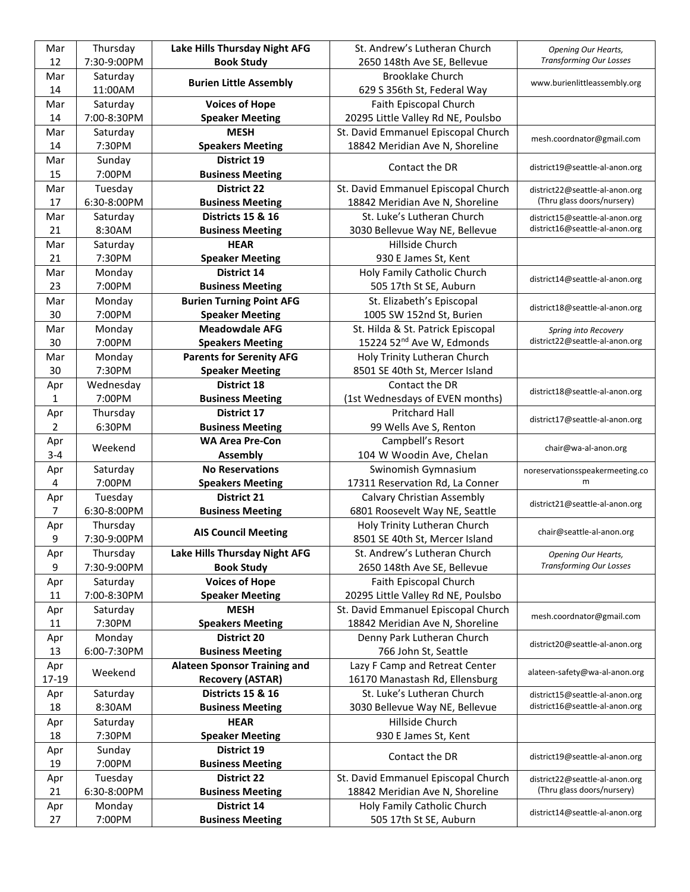| Mar            | Thursday    | Lake Hills Thursday Night AFG       | St. Andrew's Lutheran Church          | <b>Opening Our Hearts,</b>      |
|----------------|-------------|-------------------------------------|---------------------------------------|---------------------------------|
| 12             | 7:30-9:00PM | <b>Book Study</b>                   | 2650 148th Ave SE, Bellevue           | <b>Transforming Our Losses</b>  |
| Mar            | Saturday    |                                     | <b>Brooklake Church</b>               |                                 |
| 14             | 11:00AM     | <b>Burien Little Assembly</b>       | 629 S 356th St, Federal Way           | www.burienlittleassembly.org    |
| Mar            | Saturday    | <b>Voices of Hope</b>               | Faith Episcopal Church                |                                 |
| 14             | 7:00-8:30PM | <b>Speaker Meeting</b>              | 20295 Little Valley Rd NE, Poulsbo    |                                 |
| Mar            | Saturday    | <b>MESH</b>                         | St. David Emmanuel Episcopal Church   |                                 |
| 14             | 7:30PM      | <b>Speakers Meeting</b>             | 18842 Meridian Ave N, Shoreline       | mesh.coordnator@gmail.com       |
| Mar            | Sunday      | District 19                         |                                       |                                 |
| 15             | 7:00PM      | <b>Business Meeting</b>             | Contact the DR                        | district19@seattle-al-anon.org  |
| Mar            | Tuesday     | <b>District 22</b>                  | St. David Emmanuel Episcopal Church   | district22@seattle-al-anon.org  |
| 17             | 6:30-8:00PM | <b>Business Meeting</b>             | 18842 Meridian Ave N, Shoreline       | (Thru glass doors/nursery)      |
| Mar            | Saturday    | <b>Districts 15 &amp; 16</b>        | St. Luke's Lutheran Church            | district15@seattle-al-anon.org  |
| 21             | 8:30AM      | <b>Business Meeting</b>             | 3030 Bellevue Way NE, Bellevue        | district16@seattle-al-anon.org  |
| Mar            | Saturday    | <b>HEAR</b>                         | Hillside Church                       |                                 |
| 21             | 7:30PM      | <b>Speaker Meeting</b>              | 930 E James St, Kent                  |                                 |
| Mar            | Monday      | District 14                         | Holy Family Catholic Church           |                                 |
| 23             | 7:00PM      | <b>Business Meeting</b>             | 505 17th St SE, Auburn                | district14@seattle-al-anon.org  |
| Mar            | Monday      | <b>Burien Turning Point AFG</b>     | St. Elizabeth's Episcopal             |                                 |
| 30             | 7:00PM      | <b>Speaker Meeting</b>              | 1005 SW 152nd St, Burien              | district18@seattle-al-anon.org  |
| Mar            | Monday      | <b>Meadowdale AFG</b>               | St. Hilda & St. Patrick Episcopal     | Spring into Recovery            |
| 30             | 7:00PM      | <b>Speakers Meeting</b>             | 15224 52 <sup>nd</sup> Ave W, Edmonds | district22@seattle-al-anon.org  |
| Mar            | Monday      | <b>Parents for Serenity AFG</b>     | Holy Trinity Lutheran Church          |                                 |
| 30             | 7:30PM      | <b>Speaker Meeting</b>              | 8501 SE 40th St, Mercer Island        |                                 |
| Apr            | Wednesday   | <b>District 18</b>                  | Contact the DR                        |                                 |
| 1              | 7:00PM      | <b>Business Meeting</b>             | (1st Wednesdays of EVEN months)       | district18@seattle-al-anon.org  |
| Apr            | Thursday    | <b>District 17</b>                  | <b>Pritchard Hall</b>                 |                                 |
| 2              | 6:30PM      | <b>Business Meeting</b>             | 99 Wells Ave S, Renton                | district17@seattle-al-anon.org  |
| Apr            |             | <b>WA Area Pre-Con</b>              | Campbell's Resort                     |                                 |
| $3 - 4$        | Weekend     | <b>Assembly</b>                     | 104 W Woodin Ave, Chelan              | chair@wa-al-anon.org            |
| Apr            | Saturday    | <b>No Reservations</b>              | Swinomish Gymnasium                   | noreservationsspeakermeeting.co |
| 4              | 7:00PM      | <b>Speakers Meeting</b>             | 17311 Reservation Rd, La Conner       | m                               |
| Apr            | Tuesday     | <b>District 21</b>                  | Calvary Christian Assembly            |                                 |
| $\overline{7}$ | 6:30-8:00PM | <b>Business Meeting</b>             | 6801 Roosevelt Way NE, Seattle        | district21@seattle-al-anon.org  |
| Apr            | Thursday    |                                     | Holy Trinity Lutheran Church          |                                 |
| 9              | 7:30-9:00PM | <b>AIS Council Meeting</b>          | 8501 SE 40th St, Mercer Island        | chair@seattle-al-anon.org       |
| Apr            | Thursday    | Lake Hills Thursday Night AFG       | St. Andrew's Lutheran Church          | <b>Opening Our Hearts,</b>      |
| 9              | 7:30-9:00PM | <b>Book Study</b>                   | 2650 148th Ave SE, Bellevue           | <b>Transforming Our Losses</b>  |
| Apr            | Saturday    | <b>Voices of Hope</b>               | Faith Episcopal Church                |                                 |
| 11             | 7:00-8:30PM | <b>Speaker Meeting</b>              | 20295 Little Valley Rd NE, Poulsbo    |                                 |
| Apr            | Saturday    | <b>MESH</b>                         | St. David Emmanuel Episcopal Church   |                                 |
| 11             | 7:30PM      | <b>Speakers Meeting</b>             | 18842 Meridian Ave N, Shoreline       | mesh.coordnator@gmail.com       |
| Apr            | Monday      | <b>District 20</b>                  | Denny Park Lutheran Church            |                                 |
| 13             | 6:00-7:30PM | <b>Business Meeting</b>             | 766 John St, Seattle                  | district20@seattle-al-anon.org  |
| Apr            |             | <b>Alateen Sponsor Training and</b> | Lazy F Camp and Retreat Center        |                                 |
| 17-19          | Weekend     | <b>Recovery (ASTAR)</b>             | 16170 Manastash Rd, Ellensburg        | alateen-safety@wa-al-anon.org   |
| Apr            | Saturday    | <b>Districts 15 &amp; 16</b>        | St. Luke's Lutheran Church            | district15@seattle-al-anon.org  |
| 18             | 8:30AM      | <b>Business Meeting</b>             | 3030 Bellevue Way NE, Bellevue        | district16@seattle-al-anon.org  |
| Apr            | Saturday    | <b>HEAR</b>                         | Hillside Church                       |                                 |
| 18             | 7:30PM      | <b>Speaker Meeting</b>              | 930 E James St, Kent                  |                                 |
| Apr            | Sunday      | District 19                         |                                       |                                 |
| 19             | 7:00PM      | <b>Business Meeting</b>             | Contact the DR                        | district19@seattle-al-anon.org  |
| Apr            | Tuesday     | <b>District 22</b>                  | St. David Emmanuel Episcopal Church   | district22@seattle-al-anon.org  |
| 21             | 6:30-8:00PM | <b>Business Meeting</b>             | 18842 Meridian Ave N, Shoreline       | (Thru glass doors/nursery)      |
| Apr            | Monday      | District 14                         | Holy Family Catholic Church           |                                 |
| 27             | 7:00PM      | <b>Business Meeting</b>             | 505 17th St SE, Auburn                | district14@seattle-al-anon.org  |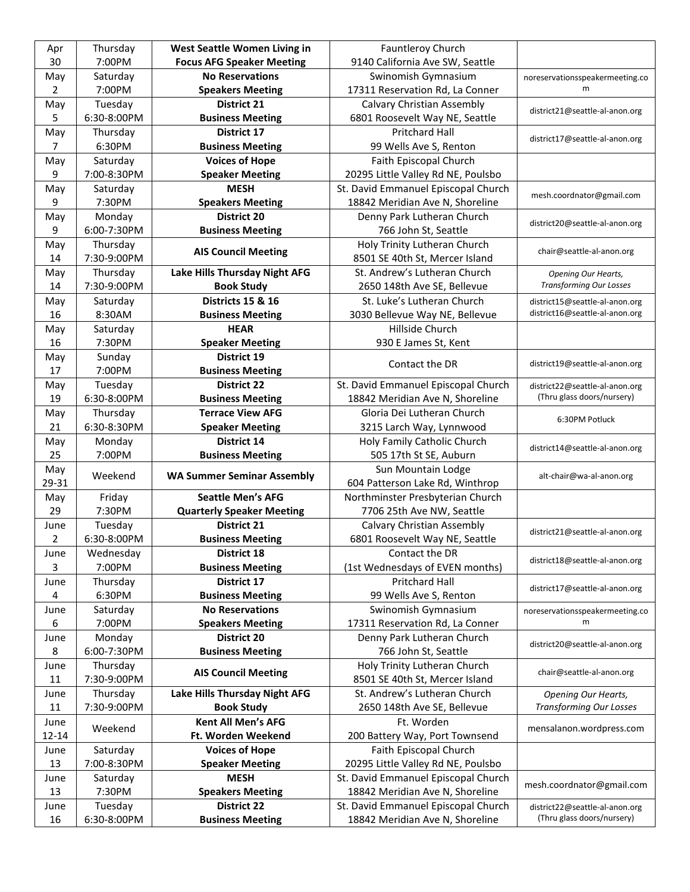| Apr                    | Thursday               | West Seattle Women Living in                  | Fauntleroy Church                                                      |                                                              |
|------------------------|------------------------|-----------------------------------------------|------------------------------------------------------------------------|--------------------------------------------------------------|
| 30                     | 7:00PM                 | <b>Focus AFG Speaker Meeting</b>              | 9140 California Ave SW, Seattle                                        |                                                              |
| May                    | Saturday               | <b>No Reservations</b>                        | Swinomish Gymnasium                                                    | noreservationsspeakermeeting.co                              |
| 2                      | 7:00PM                 | <b>Speakers Meeting</b>                       | 17311 Reservation Rd, La Conner                                        | m                                                            |
| May                    | Tuesday                | <b>District 21</b>                            | <b>Calvary Christian Assembly</b>                                      |                                                              |
| 5                      | 6:30-8:00PM            | <b>Business Meeting</b>                       | 6801 Roosevelt Way NE, Seattle                                         | district21@seattle-al-anon.org                               |
| May                    | Thursday               | District 17                                   | <b>Pritchard Hall</b>                                                  |                                                              |
| 7                      | 6:30PM                 | <b>Business Meeting</b>                       | 99 Wells Ave S, Renton                                                 | district17@seattle-al-anon.org                               |
| May                    | Saturday               | <b>Voices of Hope</b>                         | Faith Episcopal Church                                                 |                                                              |
| 9                      | 7:00-8:30PM            | <b>Speaker Meeting</b>                        | 20295 Little Valley Rd NE, Poulsbo                                     |                                                              |
| May                    | Saturday               | <b>MESH</b>                                   | St. David Emmanuel Episcopal Church                                    |                                                              |
| 9                      | 7:30PM                 | <b>Speakers Meeting</b>                       | 18842 Meridian Ave N, Shoreline                                        | mesh.coordnator@gmail.com                                    |
| May                    | Monday                 | <b>District 20</b>                            | Denny Park Lutheran Church                                             |                                                              |
| 9                      | 6:00-7:30PM            | <b>Business Meeting</b>                       | 766 John St, Seattle                                                   | district20@seattle-al-anon.org                               |
| May                    | Thursday               |                                               | Holy Trinity Lutheran Church                                           |                                                              |
| 14                     | 7:30-9:00PM            | <b>AIS Council Meeting</b>                    | 8501 SE 40th St, Mercer Island                                         | chair@seattle-al-anon.org                                    |
| May                    | Thursday               | Lake Hills Thursday Night AFG                 | St. Andrew's Lutheran Church                                           | <b>Opening Our Hearts,</b>                                   |
| 14                     | 7:30-9:00PM            | <b>Book Study</b>                             | 2650 148th Ave SE, Bellevue                                            | <b>Transforming Our Losses</b>                               |
| May                    | Saturday               | <b>Districts 15 &amp; 16</b>                  | St. Luke's Lutheran Church                                             | district15@seattle-al-anon.org                               |
| 16                     | 8:30AM                 | <b>Business Meeting</b>                       | 3030 Bellevue Way NE, Bellevue                                         | district16@seattle-al-anon.org                               |
| May                    | Saturday               | <b>HEAR</b>                                   | Hillside Church                                                        |                                                              |
| 16                     | 7:30PM                 | <b>Speaker Meeting</b>                        | 930 E James St, Kent                                                   |                                                              |
| May                    | Sunday                 | District 19                                   |                                                                        |                                                              |
| 17                     | 7:00PM                 | <b>Business Meeting</b>                       | Contact the DR                                                         | district19@seattle-al-anon.org                               |
| May                    | Tuesday                | <b>District 22</b>                            | St. David Emmanuel Episcopal Church                                    | district22@seattle-al-anon.org                               |
| 19                     | 6:30-8:00PM            | <b>Business Meeting</b>                       | 18842 Meridian Ave N, Shoreline                                        | (Thru glass doors/nursery)                                   |
| May                    | Thursday               | <b>Terrace View AFG</b>                       | Gloria Dei Lutheran Church                                             |                                                              |
| 21                     | 6:30-8:30PM            | <b>Speaker Meeting</b>                        | 3215 Larch Way, Lynnwood                                               | 6:30PM Potluck                                               |
| May                    | Monday                 | <b>District 14</b>                            | Holy Family Catholic Church                                            |                                                              |
|                        |                        |                                               |                                                                        |                                                              |
|                        |                        |                                               |                                                                        | district14@seattle-al-anon.org                               |
| 25                     | 7:00PM                 | <b>Business Meeting</b>                       | 505 17th St SE, Auburn                                                 |                                                              |
| May                    | Weekend                | <b>WA Summer Seminar Assembly</b>             | Sun Mountain Lodge                                                     | alt-chair@wa-al-anon.org                                     |
| 29-31                  |                        |                                               | 604 Patterson Lake Rd, Winthrop                                        |                                                              |
| May                    | Friday                 | <b>Seattle Men's AFG</b>                      | Northminster Presbyterian Church                                       |                                                              |
| 29                     | 7:30PM                 | <b>Quarterly Speaker Meeting</b>              | 7706 25th Ave NW, Seattle                                              |                                                              |
| June<br>$\overline{2}$ | Tuesday<br>6:30-8:00PM | <b>District 21</b>                            | Calvary Christian Assembly                                             | district21@seattle-al-anon.org                               |
|                        |                        | <b>Business Meeting</b><br><b>District 18</b> | 6801 Roosevelt Way NE, Seattle                                         |                                                              |
| June<br>3              | Wednesday              |                                               | Contact the DR                                                         | district18@seattle-al-anon.org                               |
|                        | 7:00PM                 | <b>Business Meeting</b><br>District 17        | (1st Wednesdays of EVEN months)<br>Pritchard Hall                      |                                                              |
| June<br>4              | Thursday<br>6:30PM     | <b>Business Meeting</b>                       | 99 Wells Ave S, Renton                                                 | district17@seattle-al-anon.org                               |
| June                   |                        | <b>No Reservations</b>                        | Swinomish Gymnasium                                                    |                                                              |
| 6                      | Saturday<br>7:00PM     | <b>Speakers Meeting</b>                       | 17311 Reservation Rd, La Conner                                        | noreservationsspeakermeeting.co<br>m                         |
| June                   |                        | District 20                                   | Denny Park Lutheran Church                                             |                                                              |
| 8                      | Monday<br>6:00-7:30PM  |                                               | 766 John St, Seattle                                                   | district20@seattle-al-anon.org                               |
| June                   |                        | <b>Business Meeting</b>                       |                                                                        |                                                              |
|                        | Thursday               | <b>AIS Council Meeting</b>                    | Holy Trinity Lutheran Church                                           | chair@seattle-al-anon.org                                    |
| 11                     | 7:30-9:00PM            |                                               | 8501 SE 40th St, Mercer Island                                         |                                                              |
| June                   | Thursday               | Lake Hills Thursday Night AFG                 | St. Andrew's Lutheran Church                                           | Opening Our Hearts,<br><b>Transforming Our Losses</b>        |
| 11                     | 7:30-9:00PM            | <b>Book Study</b>                             | 2650 148th Ave SE, Bellevue                                            |                                                              |
| June                   | Weekend                | <b>Kent All Men's AFG</b>                     | Ft. Worden                                                             | mensalanon.wordpress.com                                     |
| $12 - 14$              |                        | Ft. Worden Weekend                            | 200 Battery Way, Port Townsend                                         |                                                              |
| June                   | Saturday               | <b>Voices of Hope</b>                         | Faith Episcopal Church                                                 |                                                              |
| 13                     | 7:00-8:30PM            | <b>Speaker Meeting</b>                        | 20295 Little Valley Rd NE, Poulsbo                                     |                                                              |
| June                   | Saturday               | <b>MESH</b>                                   | St. David Emmanuel Episcopal Church                                    | mesh.coordnator@gmail.com                                    |
| 13                     | 7:30PM                 | <b>Speakers Meeting</b>                       | 18842 Meridian Ave N, Shoreline                                        |                                                              |
| June<br>16             | Tuesday<br>6:30-8:00PM | <b>District 22</b><br><b>Business Meeting</b> | St. David Emmanuel Episcopal Church<br>18842 Meridian Ave N, Shoreline | district22@seattle-al-anon.org<br>(Thru glass doors/nursery) |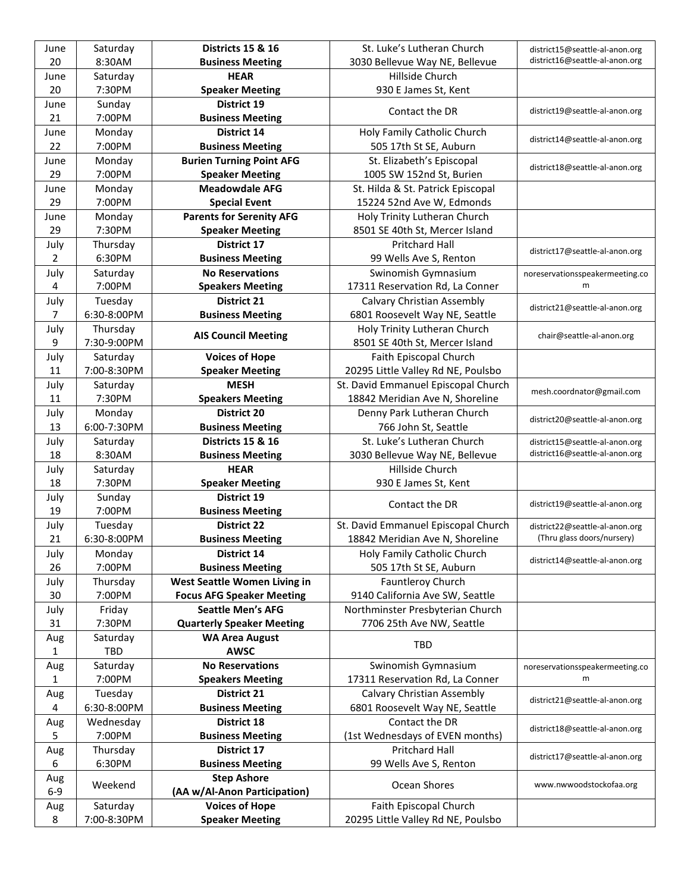| June  | Saturday           | <b>Districts 15 &amp; 16</b>                  | St. Luke's Lutheran Church                             | district15@seattle-al-anon.org       |
|-------|--------------------|-----------------------------------------------|--------------------------------------------------------|--------------------------------------|
| 20    | 8:30AM             | <b>Business Meeting</b>                       | 3030 Bellevue Way NE, Bellevue                         | district16@seattle-al-anon.org       |
| June  | Saturday           | <b>HEAR</b>                                   | Hillside Church                                        |                                      |
| 20    | 7:30PM             | <b>Speaker Meeting</b>                        | 930 E James St, Kent                                   |                                      |
| June  | Sunday             | District 19                                   |                                                        |                                      |
| 21    | 7:00PM             | <b>Business Meeting</b>                       | Contact the DR                                         | district19@seattle-al-anon.org       |
| June  | Monday             | District 14                                   | Holy Family Catholic Church                            |                                      |
| 22    | 7:00PM             | <b>Business Meeting</b>                       | 505 17th St SE, Auburn                                 | district14@seattle-al-anon.org       |
| June  | Monday             | <b>Burien Turning Point AFG</b>               | St. Elizabeth's Episcopal                              |                                      |
| 29    | 7:00PM             | <b>Speaker Meeting</b>                        | 1005 SW 152nd St, Burien                               | district18@seattle-al-anon.org       |
| June  | Monday             | <b>Meadowdale AFG</b>                         | St. Hilda & St. Patrick Episcopal                      |                                      |
| 29    | 7:00PM             | <b>Special Event</b>                          | 15224 52nd Ave W, Edmonds                              |                                      |
| June  | Monday             | <b>Parents for Serenity AFG</b>               | Holy Trinity Lutheran Church                           |                                      |
| 29    | 7:30PM             | <b>Speaker Meeting</b>                        | 8501 SE 40th St, Mercer Island                         |                                      |
| July  | Thursday           | District 17                                   | Pritchard Hall                                         |                                      |
| 2     | 6:30PM             | <b>Business Meeting</b>                       | 99 Wells Ave S, Renton                                 | district17@seattle-al-anon.org       |
|       |                    | <b>No Reservations</b>                        |                                                        |                                      |
| July  | Saturday<br>7:00PM |                                               | Swinomish Gymnasium<br>17311 Reservation Rd, La Conner | noreservationsspeakermeeting.co<br>m |
| 4     |                    | <b>Speakers Meeting</b><br><b>District 21</b> |                                                        |                                      |
| July  | Tuesday            |                                               | Calvary Christian Assembly                             | district21@seattle-al-anon.org       |
| 7     | 6:30-8:00PM        | <b>Business Meeting</b>                       | 6801 Roosevelt Way NE, Seattle                         |                                      |
| July  | Thursday           | <b>AIS Council Meeting</b>                    | Holy Trinity Lutheran Church                           | chair@seattle-al-anon.org            |
| 9     | 7:30-9:00PM        |                                               | 8501 SE 40th St, Mercer Island                         |                                      |
| July  | Saturday           | <b>Voices of Hope</b>                         | Faith Episcopal Church                                 |                                      |
| 11    | 7:00-8:30PM        | <b>Speaker Meeting</b>                        | 20295 Little Valley Rd NE, Poulsbo                     |                                      |
| July  | Saturday           | <b>MESH</b>                                   | St. David Emmanuel Episcopal Church                    | mesh.coordnator@gmail.com            |
| 11    | 7:30PM             | <b>Speakers Meeting</b>                       | 18842 Meridian Ave N, Shoreline                        |                                      |
| July  | Monday             | <b>District 20</b>                            | Denny Park Lutheran Church                             | district20@seattle-al-anon.org       |
| 13    | 6:00-7:30PM        | <b>Business Meeting</b>                       | 766 John St, Seattle                                   |                                      |
| July  | Saturday           | <b>Districts 15 &amp; 16</b>                  | St. Luke's Lutheran Church                             | district15@seattle-al-anon.org       |
| 18    | 8:30AM             | <b>Business Meeting</b>                       | 3030 Bellevue Way NE, Bellevue                         | district16@seattle-al-anon.org       |
| July  | Saturday           | <b>HEAR</b>                                   | Hillside Church                                        |                                      |
| 18    | 7:30PM             | <b>Speaker Meeting</b>                        | 930 E James St, Kent                                   |                                      |
| July  | Sunday             | District 19                                   | Contact the DR                                         | district19@seattle-al-anon.org       |
| 19    | 7:00PM             | <b>Business Meeting</b>                       |                                                        |                                      |
| July  | Tuesday            | <b>District 22</b>                            | St. David Emmanuel Episcopal Church                    | district22@seattle-al-anon.org       |
| 21    | 6:30-8:00PM        | <b>Business Meeting</b>                       | 18842 Meridian Ave N, Shoreline                        | (Thru glass doors/nursery)           |
| July  | Monday             | District 14                                   | Holy Family Catholic Church                            | district14@seattle-al-anon.org       |
| 26    | 7:00PM             | <b>Business Meeting</b>                       | 505 17th St SE, Auburn                                 |                                      |
| July  | Thursday           | West Seattle Women Living in                  | <b>Fauntleroy Church</b>                               |                                      |
| 30    | 7:00PM             | <b>Focus AFG Speaker Meeting</b>              | 9140 California Ave SW, Seattle                        |                                      |
| July  | Friday             | <b>Seattle Men's AFG</b>                      | Northminster Presbyterian Church                       |                                      |
| 31    | 7:30PM             | <b>Quarterly Speaker Meeting</b>              | 7706 25th Ave NW, Seattle                              |                                      |
| Aug   | Saturday           | <b>WA Area August</b>                         | <b>TBD</b>                                             |                                      |
| 1     | <b>TBD</b>         | <b>AWSC</b>                                   |                                                        |                                      |
| Aug   | Saturday           | <b>No Reservations</b>                        | Swinomish Gymnasium                                    | noreservationsspeakermeeting.co      |
| 1     | 7:00PM             | <b>Speakers Meeting</b>                       | 17311 Reservation Rd, La Conner                        | m                                    |
| Aug   | Tuesday            | District 21                                   | <b>Calvary Christian Assembly</b>                      | district21@seattle-al-anon.org       |
| 4     | 6:30-8:00PM        | <b>Business Meeting</b>                       | 6801 Roosevelt Way NE, Seattle                         |                                      |
| Aug   | Wednesday          | District 18                                   | Contact the DR                                         | district18@seattle-al-anon.org       |
| 5.    | 7:00PM             | <b>Business Meeting</b>                       | (1st Wednesdays of EVEN months)                        |                                      |
| Aug   | Thursday           | District 17                                   | Pritchard Hall                                         | district17@seattle-al-anon.org       |
| 6     | 6:30PM             | <b>Business Meeting</b>                       | 99 Wells Ave S, Renton                                 |                                      |
| Aug   |                    | <b>Step Ashore</b>                            |                                                        |                                      |
| $6-9$ | Weekend            | (AA w/Al-Anon Participation)                  | Ocean Shores                                           | www.nwwoodstockofaa.org              |
| Aug   | Saturday           | <b>Voices of Hope</b>                         | Faith Episcopal Church                                 |                                      |
| 8     | 7:00-8:30PM        | <b>Speaker Meeting</b>                        | 20295 Little Valley Rd NE, Poulsbo                     |                                      |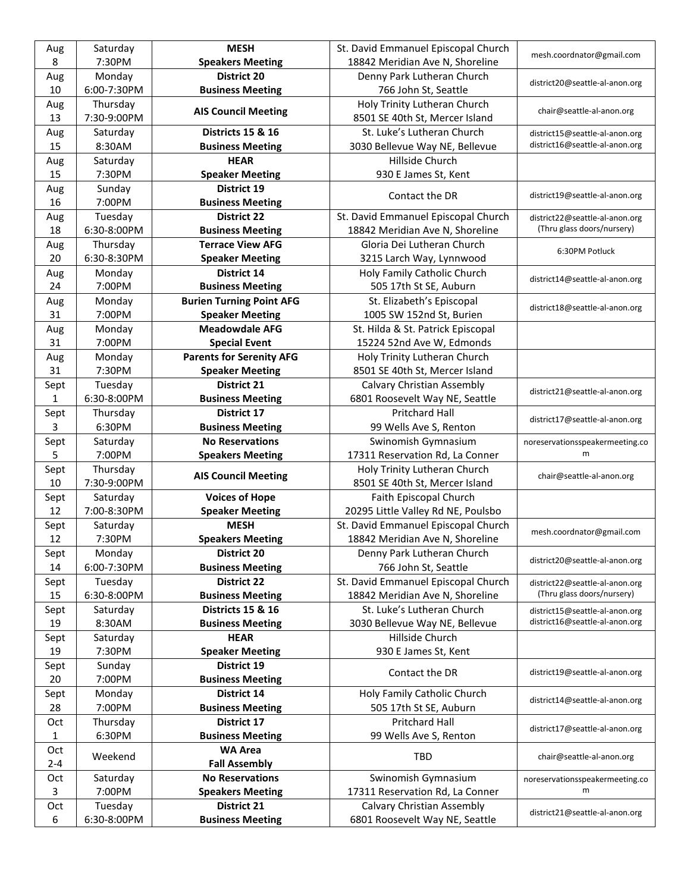| Aug          | Saturday    | <b>MESH</b>                     | St. David Emmanuel Episcopal Church | mesh.coordnator@gmail.com       |
|--------------|-------------|---------------------------------|-------------------------------------|---------------------------------|
| 8            | 7:30PM      | <b>Speakers Meeting</b>         | 18842 Meridian Ave N, Shoreline     |                                 |
| Aug          | Monday      | <b>District 20</b>              | Denny Park Lutheran Church          | district20@seattle-al-anon.org  |
| 10           | 6:00-7:30PM | <b>Business Meeting</b>         | 766 John St, Seattle                |                                 |
| Aug          | Thursday    | <b>AIS Council Meeting</b>      | Holy Trinity Lutheran Church        | chair@seattle-al-anon.org       |
| 13           | 7:30-9:00PM |                                 | 8501 SE 40th St, Mercer Island      |                                 |
| Aug          | Saturday    | <b>Districts 15 &amp; 16</b>    | St. Luke's Lutheran Church          | district15@seattle-al-anon.org  |
| 15           | 8:30AM      | <b>Business Meeting</b>         | 3030 Bellevue Way NE, Bellevue      | district16@seattle-al-anon.org  |
| Aug          | Saturday    | <b>HEAR</b>                     | Hillside Church                     |                                 |
| 15           | 7:30PM      | <b>Speaker Meeting</b>          | 930 E James St, Kent                |                                 |
| Aug          | Sunday      | District 19                     | Contact the DR                      | district19@seattle-al-anon.org  |
| 16           | 7:00PM      | <b>Business Meeting</b>         |                                     |                                 |
| Aug          | Tuesday     | <b>District 22</b>              | St. David Emmanuel Episcopal Church | district22@seattle-al-anon.org  |
| 18           | 6:30-8:00PM | <b>Business Meeting</b>         | 18842 Meridian Ave N, Shoreline     | (Thru glass doors/nursery)      |
| Aug          | Thursday    | <b>Terrace View AFG</b>         | Gloria Dei Lutheran Church          | 6:30PM Potluck                  |
| 20           | 6:30-8:30PM | <b>Speaker Meeting</b>          | 3215 Larch Way, Lynnwood            |                                 |
| Aug          | Monday      | <b>District 14</b>              | Holy Family Catholic Church         | district14@seattle-al-anon.org  |
| 24           | 7:00PM      | <b>Business Meeting</b>         | 505 17th St SE, Auburn              |                                 |
| Aug          | Monday      | <b>Burien Turning Point AFG</b> | St. Elizabeth's Episcopal           | district18@seattle-al-anon.org  |
| 31           | 7:00PM      | <b>Speaker Meeting</b>          | 1005 SW 152nd St, Burien            |                                 |
| Aug          | Monday      | <b>Meadowdale AFG</b>           | St. Hilda & St. Patrick Episcopal   |                                 |
| 31           | 7:00PM      | <b>Special Event</b>            | 15224 52nd Ave W, Edmonds           |                                 |
| Aug          | Monday      | <b>Parents for Serenity AFG</b> | Holy Trinity Lutheran Church        |                                 |
| 31           | 7:30PM      | <b>Speaker Meeting</b>          | 8501 SE 40th St, Mercer Island      |                                 |
| Sept         | Tuesday     | <b>District 21</b>              | Calvary Christian Assembly          |                                 |
| $\mathbf{1}$ | 6:30-8:00PM | <b>Business Meeting</b>         | 6801 Roosevelt Way NE, Seattle      | district21@seattle-al-anon.org  |
| Sept         | Thursday    | District 17                     | <b>Pritchard Hall</b>               |                                 |
| 3            | 6:30PM      | <b>Business Meeting</b>         | 99 Wells Ave S, Renton              | district17@seattle-al-anon.org  |
| Sept         | Saturday    | <b>No Reservations</b>          | Swinomish Gymnasium                 | noreservationsspeakermeeting.co |
| 5            | 7:00PM      | <b>Speakers Meeting</b>         | 17311 Reservation Rd, La Conner     | m                               |
| Sept         | Thursday    | <b>AIS Council Meeting</b>      | Holy Trinity Lutheran Church        | chair@seattle-al-anon.org       |
| 10           | 7:30-9:00PM |                                 | 8501 SE 40th St, Mercer Island      |                                 |
| Sept         | Saturday    | <b>Voices of Hope</b>           | Faith Episcopal Church              |                                 |
| 12           | 7:00-8:30PM | <b>Speaker Meeting</b>          | 20295 Little Valley Rd NE, Poulsbo  |                                 |
| Sept         | Saturday    | <b>MESH</b>                     | St. David Emmanuel Episcopal Church | mesh.coordnator@gmail.com       |
| 12           | 7:30PM      | <b>Speakers Meeting</b>         | 18842 Meridian Ave N, Shoreline     |                                 |
| Sept         | Monday      | <b>District 20</b>              | Denny Park Lutheran Church          | district20@seattle-al-anon.org  |
| 14           | 6:00-7:30PM | <b>Business Meeting</b>         | 766 John St, Seattle                |                                 |
| Sept         | Tuesday     | <b>District 22</b>              | St. David Emmanuel Episcopal Church | district22@seattle-al-anon.org  |
| 15           | 6:30-8:00PM | <b>Business Meeting</b>         | 18842 Meridian Ave N, Shoreline     | (Thru glass doors/nursery)      |
| Sept         | Saturday    | <b>Districts 15 &amp; 16</b>    | St. Luke's Lutheran Church          | district15@seattle-al-anon.org  |
| 19           | 8:30AM      | <b>Business Meeting</b>         | 3030 Bellevue Way NE, Bellevue      | district16@seattle-al-anon.org  |
| Sept         | Saturday    | <b>HEAR</b>                     | Hillside Church                     |                                 |
| 19           | 7:30PM      | <b>Speaker Meeting</b>          | 930 E James St, Kent                |                                 |
| Sept         | Sunday      | District 19                     | Contact the DR                      | district19@seattle-al-anon.org  |
| 20           | 7:00PM      | <b>Business Meeting</b>         |                                     |                                 |
| Sept         | Monday      | District 14                     | Holy Family Catholic Church         | district14@seattle-al-anon.org  |
| 28           | 7:00PM      | <b>Business Meeting</b>         | 505 17th St SE, Auburn              |                                 |
| Oct          | Thursday    | District 17                     | Pritchard Hall                      | district17@seattle-al-anon.org  |
| $\mathbf{1}$ | 6:30PM      | <b>Business Meeting</b>         | 99 Wells Ave S, Renton              |                                 |
| Oct          |             | <b>WA Area</b>                  | TBD                                 |                                 |
| $2 - 4$      | Weekend     | <b>Fall Assembly</b>            |                                     | chair@seattle-al-anon.org       |
| Oct          | Saturday    | <b>No Reservations</b>          | Swinomish Gymnasium                 | noreservationsspeakermeeting.co |
| 3            | 7:00PM      | <b>Speakers Meeting</b>         | 17311 Reservation Rd, La Conner     | m                               |
| Oct          | Tuesday     | <b>District 21</b>              | Calvary Christian Assembly          |                                 |
| 6            | 6:30-8:00PM | <b>Business Meeting</b>         | 6801 Roosevelt Way NE, Seattle      | district21@seattle-al-anon.org  |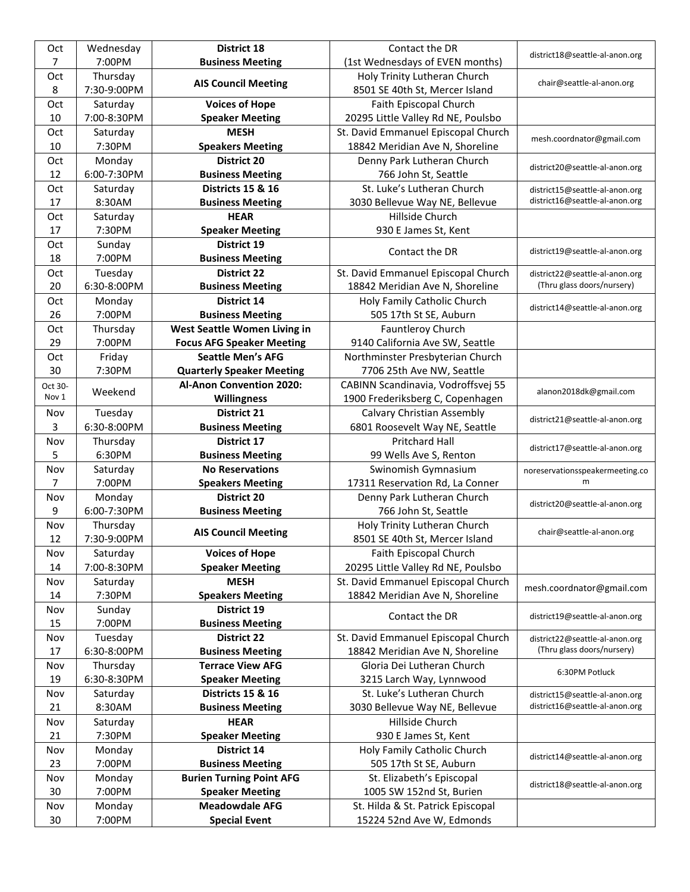| Oct     | Wednesday   | <b>District 18</b>               | Contact the DR                      |                                 |
|---------|-------------|----------------------------------|-------------------------------------|---------------------------------|
| 7       | 7:00PM      | <b>Business Meeting</b>          | (1st Wednesdays of EVEN months)     | district18@seattle-al-anon.org  |
| Oct     | Thursday    |                                  | Holy Trinity Lutheran Church        |                                 |
| 8       | 7:30-9:00PM | <b>AIS Council Meeting</b>       | 8501 SE 40th St, Mercer Island      | chair@seattle-al-anon.org       |
| Oct     | Saturday    | <b>Voices of Hope</b>            | Faith Episcopal Church              |                                 |
| 10      | 7:00-8:30PM | <b>Speaker Meeting</b>           | 20295 Little Valley Rd NE, Poulsbo  |                                 |
| Oct     | Saturday    | <b>MESH</b>                      | St. David Emmanuel Episcopal Church |                                 |
| 10      | 7:30PM      | <b>Speakers Meeting</b>          | 18842 Meridian Ave N, Shoreline     | mesh.coordnator@gmail.com       |
| Oct     | Monday      | <b>District 20</b>               | Denny Park Lutheran Church          |                                 |
| 12      | 6:00-7:30PM | <b>Business Meeting</b>          | 766 John St, Seattle                | district20@seattle-al-anon.org  |
| Oct     | Saturday    | <b>Districts 15 &amp; 16</b>     | St. Luke's Lutheran Church          | district15@seattle-al-anon.org  |
| 17      | 8:30AM      | <b>Business Meeting</b>          | 3030 Bellevue Way NE, Bellevue      | district16@seattle-al-anon.org  |
| Oct     | Saturday    | <b>HEAR</b>                      | Hillside Church                     |                                 |
| 17      | 7:30PM      | <b>Speaker Meeting</b>           | 930 E James St, Kent                |                                 |
| Oct     | Sunday      | District 19                      |                                     |                                 |
| 18      | 7:00PM      | <b>Business Meeting</b>          | Contact the DR                      | district19@seattle-al-anon.org  |
| Oct     | Tuesday     | <b>District 22</b>               | St. David Emmanuel Episcopal Church | district22@seattle-al-anon.org  |
| 20      | 6:30-8:00PM | <b>Business Meeting</b>          | 18842 Meridian Ave N, Shoreline     | (Thru glass doors/nursery)      |
| Oct     | Monday      | District 14                      | Holy Family Catholic Church         |                                 |
| 26      | 7:00PM      | <b>Business Meeting</b>          | 505 17th St SE, Auburn              | district14@seattle-al-anon.org  |
| Oct     | Thursday    | West Seattle Women Living in     | <b>Fauntleroy Church</b>            |                                 |
| 29      | 7:00PM      | <b>Focus AFG Speaker Meeting</b> | 9140 California Ave SW, Seattle     |                                 |
| Oct     | Friday      | <b>Seattle Men's AFG</b>         | Northminster Presbyterian Church    |                                 |
| 30      | 7:30PM      | <b>Quarterly Speaker Meeting</b> | 7706 25th Ave NW, Seattle           |                                 |
| Oct 30- |             | <b>Al-Anon Convention 2020:</b>  | CABINN Scandinavia, Vodroffsvej 55  |                                 |
| Nov 1   | Weekend     | Willingness                      | 1900 Frederiksberg C, Copenhagen    | alanon2018dk@gmail.com          |
| Nov     | Tuesday     | <b>District 21</b>               | Calvary Christian Assembly          |                                 |
| 3       | 6:30-8:00PM | <b>Business Meeting</b>          | 6801 Roosevelt Way NE, Seattle      | district21@seattle-al-anon.org  |
|         |             |                                  |                                     |                                 |
| Nov     | Thursday    | <b>District 17</b>               | <b>Pritchard Hall</b>               |                                 |
| 5       | 6:30PM      | <b>Business Meeting</b>          | 99 Wells Ave S, Renton              | district17@seattle-al-anon.org  |
| Nov     | Saturday    | <b>No Reservations</b>           | Swinomish Gymnasium                 | noreservationsspeakermeeting.co |
| 7       | 7:00PM      | <b>Speakers Meeting</b>          | 17311 Reservation Rd, La Conner     | m                               |
| Nov     | Monday      | <b>District 20</b>               | Denny Park Lutheran Church          |                                 |
| 9       | 6:00-7:30PM | <b>Business Meeting</b>          | 766 John St, Seattle                | district20@seattle-al-anon.org  |
| Nov     | Thursday    |                                  | Holy Trinity Lutheran Church        |                                 |
| 12      | 7:30-9:00PM | <b>AIS Council Meeting</b>       | 8501 SE 40th St, Mercer Island      | chair@seattle-al-anon.org       |
| Nov     | Saturday    | <b>Voices of Hope</b>            | Faith Episcopal Church              |                                 |
| 14      | 7:00-8:30PM | <b>Speaker Meeting</b>           | 20295 Little Valley Rd NE, Poulsbo  |                                 |
| Nov     | Saturday    | <b>MESH</b>                      | St. David Emmanuel Episcopal Church |                                 |
| 14      | 7:30PM      | <b>Speakers Meeting</b>          | 18842 Meridian Ave N, Shoreline     | mesh.coordnator@gmail.com       |
| Nov     | Sunday      | District 19                      |                                     |                                 |
| 15      | 7:00PM      | <b>Business Meeting</b>          | Contact the DR                      | district19@seattle-al-anon.org  |
| Nov     | Tuesday     | <b>District 22</b>               | St. David Emmanuel Episcopal Church | district22@seattle-al-anon.org  |
| 17      | 6:30-8:00PM | <b>Business Meeting</b>          | 18842 Meridian Ave N, Shoreline     | (Thru glass doors/nursery)      |
| Nov     | Thursday    | <b>Terrace View AFG</b>          | Gloria Dei Lutheran Church          |                                 |
| 19      | 6:30-8:30PM | <b>Speaker Meeting</b>           | 3215 Larch Way, Lynnwood            | 6:30PM Potluck                  |
| Nov     | Saturday    | <b>Districts 15 &amp; 16</b>     | St. Luke's Lutheran Church          | district15@seattle-al-anon.org  |
| 21      | 8:30AM      | <b>Business Meeting</b>          | 3030 Bellevue Way NE, Bellevue      | district16@seattle-al-anon.org  |
| Nov     | Saturday    | <b>HEAR</b>                      | Hillside Church                     |                                 |
| 21      | 7:30PM      | <b>Speaker Meeting</b>           | 930 E James St, Kent                |                                 |
| Nov     | Monday      | District 14                      | Holy Family Catholic Church         |                                 |
| 23      | 7:00PM      | <b>Business Meeting</b>          | 505 17th St SE, Auburn              | district14@seattle-al-anon.org  |
| Nov     | Monday      | <b>Burien Turning Point AFG</b>  | St. Elizabeth's Episcopal           |                                 |
| 30      | 7:00PM      | <b>Speaker Meeting</b>           | 1005 SW 152nd St, Burien            | district18@seattle-al-anon.org  |
| Nov     | Monday      | <b>Meadowdale AFG</b>            | St. Hilda & St. Patrick Episcopal   |                                 |